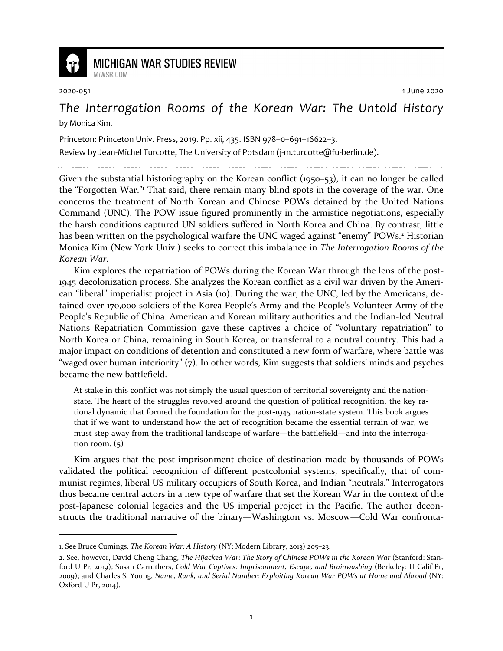

## **MICHIGAN WAR STUDIES REVIEW**

MiWSR COM

2020-051 1 June 2020

## *The Interrogation Rooms of the Korean War: The Untold History* by Monica Kim.

Princeton: Princeton Univ. Press, 2019. Pp. xii, 435. ISBN 978–0–691–16622–3.

Review by Jean-Michel Turcotte, The University of Potsdam (j-m.turcotte@fu-berlin.de).

Given the substantial historiography on the Korean conflict (1950–53), it can no longer be called the "Forgotten War."<sup>1</sup> That said, there remain many blind spots in the coverage of the war. One concerns the treatment of North Korean and Chinese POWs detained by the United Nations Command (UNC). The POW issue figured prominently in the armistice negotiations, especially the harsh conditions captured UN soldiers suffered in North Korea and China. By contrast, little has been written on the psychological warfare the UNC waged against "enemy" POWs.<sup>2</sup> Historian Monica Kim (New York Univ.) seeks to correct this imbalance in *The Interrogation Rooms of the Korean War*.

Kim explores the repatriation of POWs during the Korean War through the lens of the post-1945 decolonization process. She analyzes the Korean conflict as a civil war driven by the American "liberal" imperialist project in Asia (10). During the war, the UNC, led by the Americans, detained over 170,000 soldiers of the Korea People's Army and the People's Volunteer Army of the People's Republic of China. American and Korean military authorities and the Indian-led Neutral Nations Repatriation Commission gave these captives a choice of "voluntary repatriation" to North Korea or China, remaining in South Korea, or transferral to a neutral country. This had a major impact on conditions of detention and constituted a new form of warfare, where battle was "waged over human interiority" (7). In other words, Kim suggests that soldiers' minds and psyches became the new battlefield.

At stake in this conflict was not simply the usual question of territorial sovereignty and the nationstate. The heart of the struggles revolved around the question of political recognition, the key rational dynamic that formed the foundation for the post-1945 nation-state system. This book argues that if we want to understand how the act of recognition became the essential terrain of war, we must step away from the traditional landscape of warfare—the battlefield—and into the interrogation room.  $(5)$ 

Kim argues that the post-imprisonment choice of destination made by thousands of POWs validated the political recognition of different postcolonial systems, specifically, that of communist regimes, liberal US military occupiers of South Korea, and Indian "neutrals." Interrogators thus became central actors in a new type of warfare that set the Korean War in the context of the post-Japanese colonial legacies and the US imperial project in the Pacific. The author deconstructs the traditional narrative of the binary—Washington vs. Moscow—Cold War confronta-

<sup>1.</sup> See Bruce Cumings, *The Korean War: A History* (NY: Modern Library, 2013) 205–23.

<sup>2.</sup> See, however, David Cheng Chang, *The Hijacked War: The Story of Chinese POWs in the Korean War* (Stanford: Stanford U Pr, 2019); Susan Carruthers, *Cold War Captives: Imprisonment, Escape, and Brainwashing* (Berkeley: U Calif Pr, 2009); and Charles S. Young, *Name, Rank, and Serial Number: Exploiting Korean War POWs at Home and Abroad* (NY: Oxford U Pr, 2014).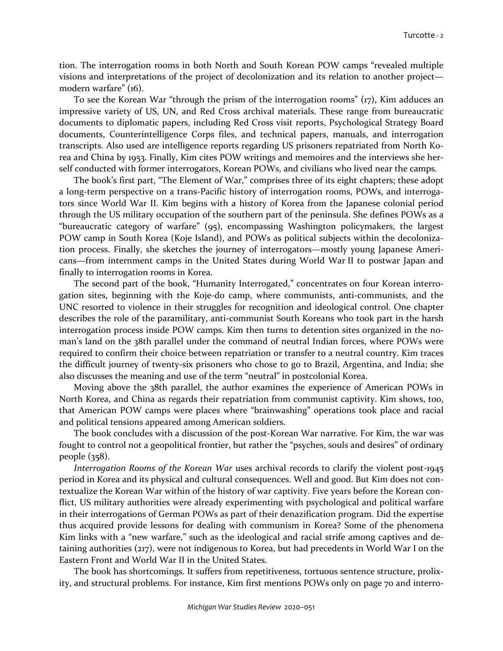tion. The interrogation rooms in both North and South Korean POW camps "revealed multiple visions and interpretations of the project of decolonization and its relation to another project modern warfare" (16).

To see the Korean War "through the prism of the interrogation rooms" (17), Kim adduces an impressive variety of US, UN, and Red Cross archival materials. These range from bureaucratic documents to diplomatic papers, including Red Cross visit reports, Psychological Strategy Board documents, Counterintelligence Corps files, and technical papers, manuals, and interrogation transcripts. Also used are intelligence reports regarding US prisoners repatriated from North Korea and China by 1953. Finally, Kim cites POW writings and memoires and the interviews she herself conducted with former interrogators, Korean POWs, and civilians who lived near the camps.

The book's first part, "The Element of War," comprises three of its eight chapters; these adopt a long-term perspective on a trans-Pacific history of interrogation rooms, POWs, and interrogators since World War II. Kim begins with a history of Korea from the Japanese colonial period through the US military occupation of the southern part of the peninsula. She defines POWs as a "bureaucratic category of warfare" (95), encompassing Washington policymakers, the largest POW camp in South Korea (Koje Island), and POWs as political subjects within the decolonization process. Finally, she sketches the journey of interrogators—mostly young Japanese Americans—from internment camps in the United States during World War II to postwar Japan and finally to interrogation rooms in Korea.

The second part of the book, "Humanity Interrogated," concentrates on four Korean interrogation sites, beginning with the Koje-do camp, where communists, anti-communists, and the UNC resorted to violence in their struggles for recognition and ideological control. One chapter describes the role of the paramilitary, anti-communist South Koreans who took part in the harsh interrogation process inside POW camps. Kim then turns to detention sites organized in the noman's land on the 38th parallel under the command of neutral Indian forces, where POWs were required to confirm their choice between repatriation or transfer to a neutral country. Kim traces the difficult journey of twenty-six prisoners who chose to go to Brazil, Argentina, and India; she also discusses the meaning and use of the term "neutral" in postcolonial Korea.

Moving above the 38th parallel, the author examines the experience of American POWs in North Korea, and China as regards their repatriation from communist captivity. Kim shows, too, that American POW camps were places where "brainwashing" operations took place and racial and political tensions appeared among American soldiers.

The book concludes with a discussion of the post-Korean War narrative. For Kim, the war was fought to control not a geopolitical frontier, but rather the "psyches, souls and desires" of ordinary people (358).

*Interrogation Rooms of the Korean War uses archival records to clarify the violent post-1945* period in Korea and its physical and cultural consequences. Well and good. But Kim does not contextualize the Korean War within of the history of war captivity. Five years before the Korean conflict, US military authorities were already experimenting with psychological and political warfare in their interrogations of German POWs as part of their denazification program. Did the expertise thus acquired provide lessons for dealing with communism in Korea? Some of the phenomena Kim links with a "new warfare," such as the ideological and racial strife among captives and detaining authorities (217), were not indigenous to Korea, but had precedents in World War I on the Eastern Front and World War II in the United States.

The book has shortcomings. It suffers from repetitiveness, tortuous sentence structure, prolixity, and structural problems. For instance, Kim first mentions POWs only on page 70 and interro